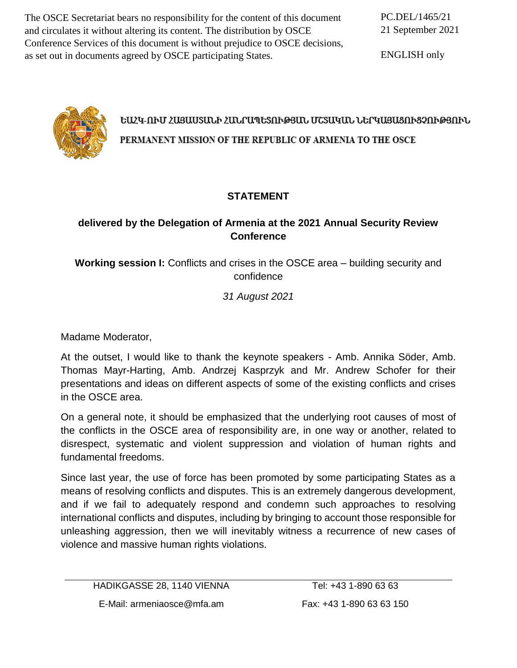The OSCE Secretariat bears no responsibility for the content of this document and circulates it without altering its content. The distribution by OSCE Conference Services of this document is without prejudice to OSCE decisions, as set out in documents agreed by OSCE participating States.

PC.DEL/1465/21 21 September 2021

ENGLISH only



# ԵԱՀԿ-ՈՒՄ ՀԱՑԱՍՏԱՆԻ ՀԱՆՐԱՊԵՏՈՒԹՅԱՆ ՄՇՏԱԿԱՆ ՆԵՐԿԱՑԱՑՈՒՑՉՈՒԹՅՈՒՆ PERMANENT MISSION OF THE REPUBLIC OF ARMENIA TO THE OSCE

# **STATEMENT**

## **delivered by the Delegation of Armenia at the 2021 Annual Security Review Conference**

**Working session I:** Conflicts and crises in the OSCE area – building security and confidence

*31 August 2021*

Madame Moderator,

At the outset, I would like to thank the keynote speakers - Amb. Annika Söder, Amb. Thomas Mayr-Harting, Amb. Andrzej Kasprzyk and Mr. Andrew Schofer for their presentations and ideas on different aspects of some of the existing conflicts and crises in the OSCE area.

On a general note, it should be emphasized that the underlying root causes of most of the conflicts in the OSCE area of responsibility are, in one way or another, related to disrespect, systematic and violent suppression and violation of human rights and fundamental freedoms.

Since last year, the use of force has been promoted by some participating States as a means of resolving conflicts and disputes. This is an extremely dangerous development, and if we fail to adequately respond and condemn such approaches to resolving international conflicts and disputes, including by bringing to account those responsible for unleashing aggression, then we will inevitably witness a recurrence of new cases of violence and massive human rights violations.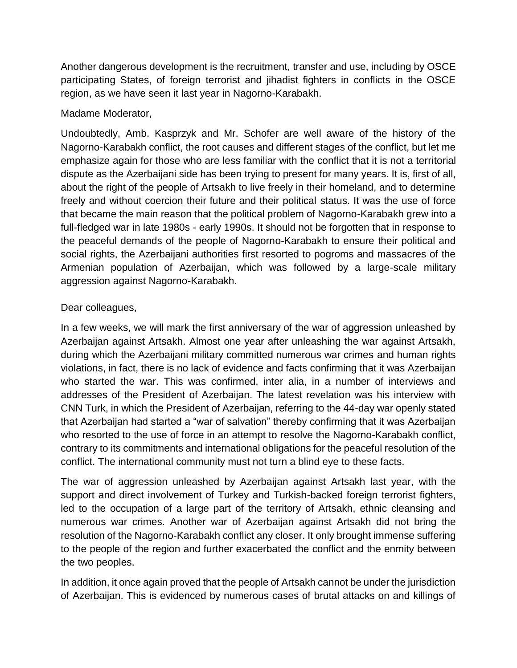Another dangerous development is the recruitment, transfer and use, including by OSCE participating States, of foreign terrorist and jihadist fighters in conflicts in the OSCE region, as we have seen it last year in Nagorno-Karabakh.

#### Madame Moderator,

Undoubtedly, Amb. Kasprzyk and Mr. Schofer are well aware of the history of the Nagorno-Karabakh conflict, the root causes and different stages of the conflict, but let me emphasize again for those who are less familiar with the conflict that it is not a territorial dispute as the Azerbaijani side has been trying to present for many years. It is, first of all, about the right of the people of Artsakh to live freely in their homeland, and to determine freely and without coercion their future and their political status. It was the use of force that became the main reason that the political problem of Nagorno-Karabakh grew into a full-fledged war in late 1980s - early 1990s. It should not be forgotten that in response to the peaceful demands of the people of Nagorno-Karabakh to ensure their political and social rights, the Azerbaijani authorities first resorted to pogroms and massacres of the Armenian population of Azerbaijan, which was followed by a large-scale military aggression against Nagorno-Karabakh.

## Dear colleagues,

In a few weeks, we will mark the first anniversary of the war of aggression unleashed by Azerbaijan against Artsakh. Almost one year after unleashing the war against Artsakh, during which the Azerbaijani military committed numerous war crimes and human rights violations, in fact, there is no lack of evidence and facts confirming that it was Azerbaijan who started the war. This was confirmed, inter alia, in a number of interviews and addresses of the President of Azerbaijan. The latest revelation was his interview with CNN Turk, in which the President of Azerbaijan, referring to the 44-day war openly stated that Azerbaijan had started a "war of salvation" thereby confirming that it was Azerbaijan who resorted to the use of force in an attempt to resolve the Nagorno-Karabakh conflict, contrary to its commitments and international obligations for the peaceful resolution of the conflict. The international community must not turn a blind eye to these facts.

The war of aggression unleashed by Azerbaijan against Artsakh last year, with the support and direct involvement of Turkey and Turkish-backed foreign terrorist fighters, led to the occupation of a large part of the territory of Artsakh, ethnic cleansing and numerous war crimes. Another war of Azerbaijan against Artsakh did not bring the resolution of the Nagorno-Karabakh conflict any closer. It only brought immense suffering to the people of the region and further exacerbated the conflict and the enmity between the two peoples.

In addition, it once again proved that the people of Artsakh cannot be under the jurisdiction of Azerbaijan. This is evidenced by numerous cases of brutal attacks on and killings of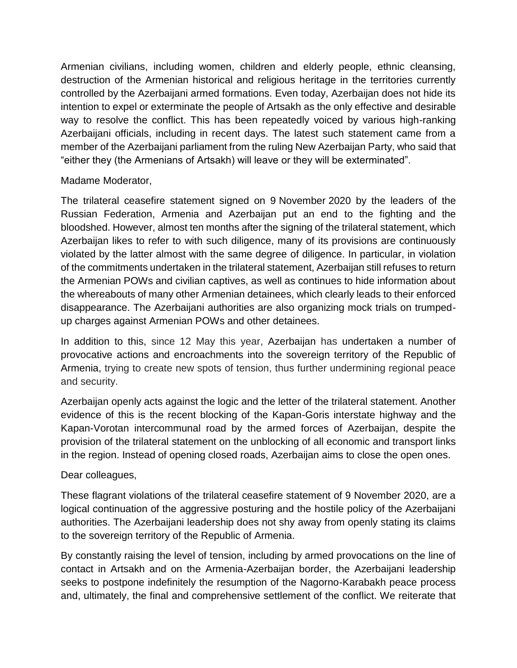Armenian civilians, including women, children and elderly people, ethnic cleansing, destruction of the Armenian historical and religious heritage in the territories currently controlled by the Azerbaijani armed formations. Even today, Azerbaijan does not hide its intention to expel or exterminate the people of Artsakh as the only effective and desirable way to resolve the conflict. This has been repeatedly voiced by various high-ranking Azerbaijani officials, including in recent days. The latest such statement came from a member of the Azerbaijani parliament from the ruling New Azerbaijan Party, who said that "either they (the Armenians of Artsakh) will leave or they will be exterminated".

#### Madame Moderator,

The trilateral ceasefire statement signed on 9 November 2020 by the leaders of the Russian Federation, Armenia and Azerbaijan put an end to the fighting and the bloodshed. However, almost ten months after the signing of the trilateral statement, which Azerbaijan likes to refer to with such diligence, many of its provisions are continuously violated by the latter almost with the same degree of diligence. In particular, in violation of the commitments undertaken in the trilateral statement, Azerbaijan still refuses to return the Armenian POWs and civilian captives, as well as continues to hide information about the whereabouts of many other Armenian detainees, which clearly leads to their enforced disappearance. The Azerbaijani authorities are also organizing mock trials on trumpedup charges against Armenian POWs and other detainees.

In addition to this, since 12 May this year, Azerbaijan has undertaken a number of provocative actions and encroachments into the sovereign territory of the Republic of Armenia, trying to create new spots of tension, thus further undermining regional peace and security.

Azerbaijan openly acts against the logic and the letter of the trilateral statement. Another evidence of this is the recent blocking of the Kapan-Goris interstate highway and the Kapan-Vorotan intercommunal road by the armed forces of Azerbaijan, despite the provision of the trilateral statement on the unblocking of all economic and transport links in the region. Instead of opening closed roads, Azerbaijan aims to close the open ones.

## Dear colleagues,

These flagrant violations of the trilateral ceasefire statement of 9 November 2020, are a logical continuation of the aggressive posturing and the hostile policy of the Azerbaijani authorities. The Azerbaijani leadership does not shy away from openly stating its claims to the sovereign territory of the Republic of Armenia.

By constantly raising the level of tension, including by armed provocations on the line of contact in Artsakh and on the Armenia-Azerbaijan border, the Azerbaijani leadership seeks to postpone indefinitely the resumption of the Nagorno-Karabakh peace process and, ultimately, the final and comprehensive settlement of the conflict. We reiterate that